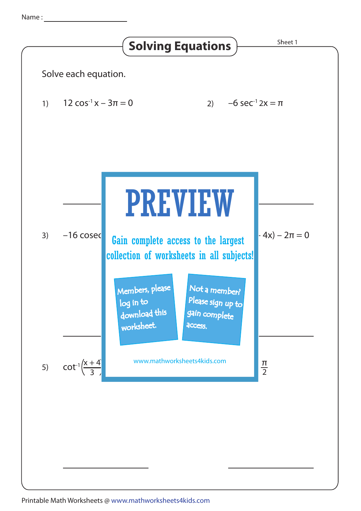